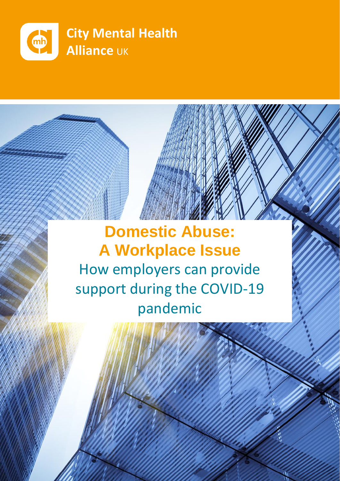

# **Domestic Abuse: A Workplace Issue** How employers can provide support during the COVID-19 pandemic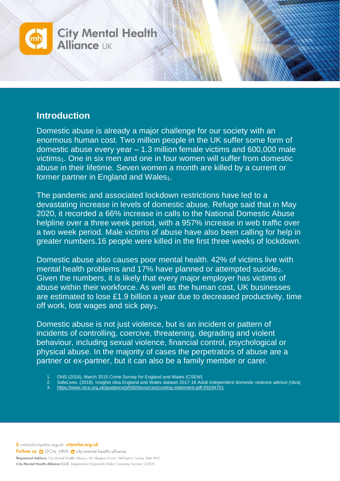

#### **Introduction**

Domestic abuse is already a major challenge for our society with an enormous human cost. Two million people in the UK suffer some form of domestic abuse every year – 1.3 million female victims and 600,000 male victims<sub>1</sub>. One in six men and one in four women will suffer from domestic abuse in their lifetime. Seven women a month are killed by a current or former partner in England and Wales<sub>1</sub>.

The pandemic and associated lockdown restrictions have led to a devastating increase in levels of domestic abuse. Refuge said that in May 2020, it recorded a 66% increase in calls to the National Domestic Abuse helpline over a three week period, with a 957% increase in web traffic over a two week period. Male victims of abuse have also been calling for help in greater numbers.16 people were killed in the first three weeks of lockdown.

Domestic abuse also causes poor mental health. 42% of victims live with mental health problems and 17% have planned or attempted suicidez. Given the numbers, it is likely that every major employer has victims of abuse within their workforce. As well as the human cost, UK businesses are estimated to lose £1.9 billion a year due to decreased productivity, time off work, lost wages and sick pay<sub>3</sub>.

Domestic abuse is not just violence, but is an incident or pattern of incidents of controlling, coercive, threatening, degrading and violent behaviour, including sexual violence, financial control, psychological or physical abuse. In the majority of cases the perpetrators of abuse are a partner or ex-partner, but it can also be a family member or carer.

- 1. ONS (2016), March 2015 Crime Survey for England and Wales (CSEW)
- 2. SafeLives. (2018). Insights Idva England and Wales dataset 2017-18 Adult independent domestic violence advisor (Idva)
- 3. <https://www.nice.org.uk/guidance/ph50/resources/costing-statement-pdf-69194701>

E cmha@citymha.org.uk citymha.org.uk Follow us g @City\_MHA in city-mental-health-alliance Registered Address City Mental Health Alliance, 60 Alington Grove, Wallington, Surrey, SM6 9NG

City Mental Health Alliance C.I.C Registered in England & Wales Company Number 123035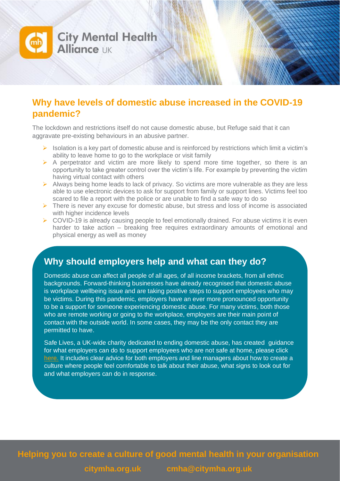

#### **Why have levels of domestic abuse increased in the COVID-19 pandemic?**

The lockdown and restrictions itself do not cause domestic abuse, but Refuge said that it can aggravate pre-existing behaviours in an abusive partner.

- ➢ Isolation is a key part of domestic abuse and is reinforced by restrictions which limit a victim's ability to leave home to go to the workplace or visit family
- $\triangleright$  A perpetrator and victim are more likely to spend more time together, so there is an opportunity to take greater control over the victim's life. For example by preventing the victim having virtual contact with others
- ➢ Always being home leads to lack of privacy. So victims are more vulnerable as they are less able to use electronic devices to ask for support from family or support lines. Victims feel too scared to file a report with the police or are unable to find a safe way to do so
- ➢ There is never any excuse for domestic abuse, but stress and loss of income is associated with higher incidence levels
- ➢ COVID-19 is already causing people to feel emotionally drained. For abuse victims it is even harder to take action – breaking free requires extraordinary amounts of emotional and physical energy as well as money

#### **Why should employers help and what can they do?**

Domestic abuse can affect all people of all ages, of all income brackets, from all ethnic backgrounds. Forward-thinking businesses have already recognised that domestic abuse is workplace wellbeing issue and are taking positive steps to support employees who may be victims. During this pandemic, employers have an ever more pronounced opportunity to be a support for someone experiencing domestic abuse. For many victims, both those who are remote working or going to the workplace, employers are their main point of contact with the outside world. In some cases, they may be the only contact they are permitted to have.

Safe Lives, a UK-wide charity dedicated to ending domestic abuse, has created guidance for what employers can do to support employees who are not safe at home, please click [here.](https://safelives.org.uk/sites/default/files/resources/030420%20Briefing%20note%20for%20employers%20during%20covid-19.pdf) It includes clear advice for both employers and line managers about how to create a culture where people feel comfortable to talk about their abuse, what signs to look out for and what employers can do in response.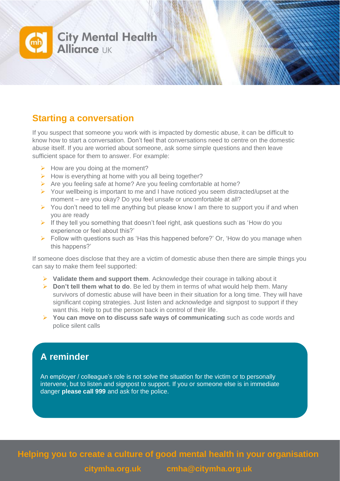

#### **Starting a conversation**

If you suspect that someone you work with is impacted by domestic abuse, it can be difficult to know how to start a conversation. Don't feel that conversations need to centre on the domestic abuse itself. If you are worried about someone, ask some simple questions and then leave sufficient space for them to answer. For example:

- $\triangleright$  How are you doing at the moment?
- $\triangleright$  How is everything at home with you all being together?
- ➢ Are you feeling safe at home? Are you feeling comfortable at home?
- ➢ Your wellbeing is important to me and I have noticed you seem distracted/upset at the moment – are you okay? Do you feel unsafe or uncomfortable at all?
- ➢ You don't need to tell me anything but please know I am there to support you if and when you are ready
- $\triangleright$  If they tell you something that doesn't feel right, ask questions such as 'How do you experience or feel about this?'
- ➢ Follow with questions such as 'Has this happened before?' Or, 'How do you manage when this happens?'

If someone does disclose that they are a victim of domestic abuse then there are simple things you can say to make them feel supported:

- ➢ **Validate them and support them**. Acknowledge their courage in talking about it
- ➢ **Don't tell them what to do**. Be led by them in terms of what would help them. Many survivors of domestic abuse will have been in their situation for a long time. They will have significant coping strategies. Just listen and acknowledge and signpost to support if they want this. Help to put the person back in control of their life.
- ➢ **You can move on to discuss safe ways of communicating** such as code words and police silent calls

## **A reminder**

An employer / colleague's role is not solve the situation for the victim or to personally intervene, but to listen and signpost to support. If you or someone else is in immediate danger **please call 999** and ask for the police.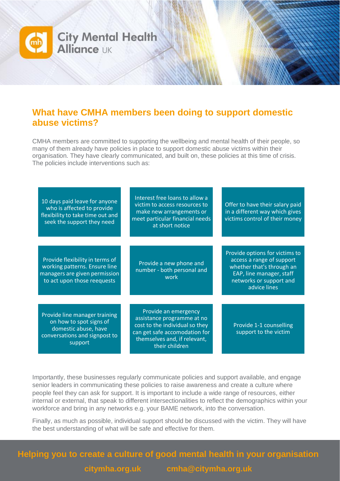

#### **What have CMHA members been doing to support domestic abuse victims?**

CMHA members are committed to supporting the wellbeing and mental health of their people, so many of them already have policies in place to support domestic abuse victims within their organisation. They have clearly communicated, and built on, these policies at this time of crisis. The policies include interventions such as:

| 10 days paid leave for anyone<br>who is affected to provide<br>flexibility to take time out and<br>seek the support they need    | Interest free loans to allow a<br>victim to access resources to<br>make new arrangements or<br>meet particular financial needs<br>at short notice                       | Offer to have their salary paid<br>in a different way which gives<br>victims control of their money                           |
|----------------------------------------------------------------------------------------------------------------------------------|-------------------------------------------------------------------------------------------------------------------------------------------------------------------------|-------------------------------------------------------------------------------------------------------------------------------|
|                                                                                                                                  |                                                                                                                                                                         | Provide options for victims to                                                                                                |
| Provide flexibility in terms of<br>working patterns. Ensure line<br>managers are given permission<br>to act upon those reequests | Provide a new phone and<br>number - both personal and<br>work                                                                                                           | access a range of support<br>whether that's through an<br>EAP, line manager, staff<br>networks or support and<br>advice lines |
|                                                                                                                                  |                                                                                                                                                                         |                                                                                                                               |
| Provide line manager training<br>on how to spot signs of<br>domestic abuse, have<br>conversations and signpost to<br>support     | Provide an emergency<br>assistance programme at no<br>cost to the individual so they<br>can get safe accomodation for<br>themselves and, if relevant,<br>their children | Provide 1-1 counselling<br>support to the victim                                                                              |

Importantly, these businesses regularly communicate policies and support available, and engage senior leaders in communicating these policies to raise awareness and create a culture where people feel they can ask for support. It is important to include a wide range of resources, either internal or external, that speak to different intersectionalities to reflect the demographics within your workforce and bring in any networks e.g. your BAME network, into the conversation.

Finally, as much as possible, individual support should be discussed with the victim. They will have the best understanding of what will be safe and effective for them.